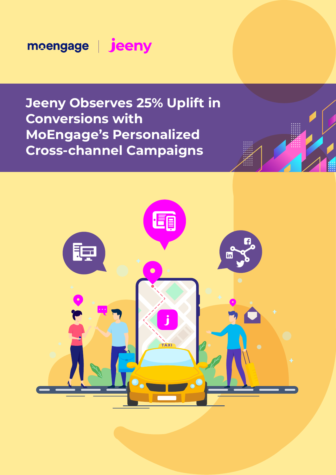moengage | jeeny

**Jeeny Observes 25% Uplift in Conversions with MoEngage's Personalized Cross-channel Campaigns**

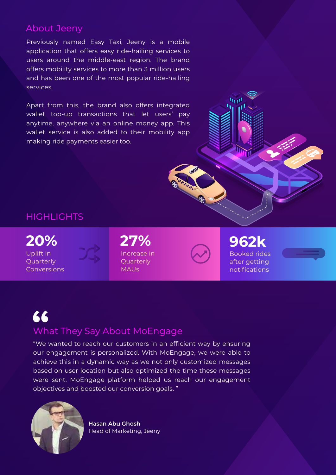### About Jeeny

Previously named Easy Taxi, Jeeny is a mobile application that offers easy ride-hailing services to users around the middle-east region. The brand offers mobility services to more than 3 million users and has been one of the most popular ride-hailing services.

Apart from this, the brand also offers integrated wallet top-up transactions that let users' pay anytime, anywhere via an online money app. This wallet service is also added to their mobility app making ride payments easier too.

## **HIGHLIGHTS**

Uplift in **Quarterly** Conversions **20%**



Increase in **Quarterly** MAUs **27%**

Booked rides after getting notifications **962k**

 $\overline{\mathbf{h}}_1$ 



# What They Say About MoEngage **"**

"We wanted to reach our customers in an efficient way by ensuring our engagement is personalized. With MoEngage, we were able to achieve this in a dynamic way as we not only customized messages based on user location but also optimized the time these messages were sent. MoEngage platform helped us reach our engagement objectives and boosted our conversion goals. "



**Hasan Abu Ghosh** Head of Marketing, Jeeny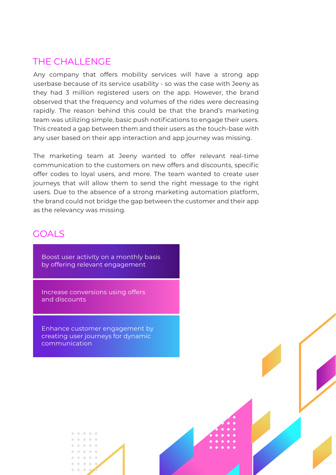## THE CHALL ENGE

Any company that offers mobility services will have a strong app userbase because of its service usability - so was the case with Jeeny as they had 3 million registered users on the app. However, the brand observed that the frequency and volumes of the rides were decreasing rapidly. The reason behind this could be that the brand's marketing team was utilizing simple, basic push notifications to engage their users. This created a gap between them and their users as the touch-base with any user based on their app interaction and app journey was missing.

The marketing team at Jeeny wanted to offer relevant real-time communication to the customers on new offers and discounts, specific offer codes to loyal users, and more. The team wanted to create user journeys that will allow them to send the right message to the right users. Due to the absence of a strong marketing automation platform, the brand could not bridge the gap between the customer and their app as the relevancy was missing.

#### GOALS

Boost user activity on a monthly basis by offering relevant engagement

Increase conversions using offers and discounts

Enhance customer engagement by creating user journeys for dynamic communication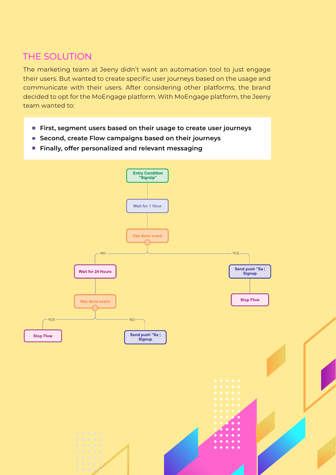# THE SOLUTION

The marketing team at Jeeny didn't want an automation tool to just engage their users. But wanted to create specific user journeys based on the usage and communicate with their users. After considering other platforms, the brand decided to opt for the MoEngage platform. With MoEngage platform, the Jeeny team wanted to:

- **First, segment users based on their usage to create user journeys**
- **Second, create Flow campaigns based on their journeys**
- **Finally, offer personalized and relevant messaging**

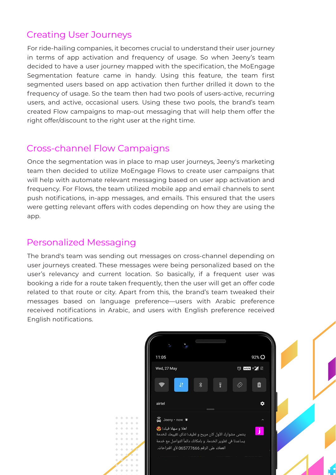# Creating User Journeys

For ride-hailing companies, it becomes crucial to understand their user journey in terms of app activation and frequency of usage. So when Jeeny's team decided to have a user journey mapped with the specification, the MoEngage Segmentation feature came in handy. Using this feature, the team first segmented users based on app activation then further drilled it down to the frequency of usage. So the team then had two pools of users-active, recurring users, and active, occasional users. Using these two pools, the brand's team created Flow campaigns to map-out messaging that will help them offer the right offer/discount to the right user at the right time.

# Cross-channel Flow Campaigns

Once the segmentation was in place to map user journeys, Jeeny's marketing team then decided to utilize MoEngage Flows to create user campaigns that will help with automate relevant messaging based on user app activation and frequency. For Flows, the team utilized mobile app and email channels to sent push notifications, in-app messages, and emails. This ensured that the users were getting relevant offers with codes depending on how they are using the app.

# Personalized Messaging

The brand's team was sending out messages on cross-channel depending on user journeys created. These messages were being personalized based on the user's relevancy and current location. So basically, if a frequent user was booking a ride for a route taken frequently, then the user will get an offer code related to that route or city. Apart from this, the brand's team tweaked their messages based on language preference—users with Arabic preference received notifications in Arabic, and users with English preference received English notifications.

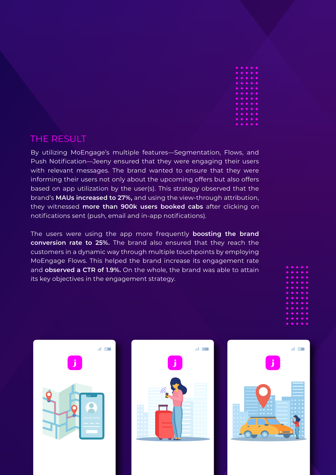

### THE RESULT

By utilizing MoEngage's multiple features—Segmentation, Flows, and Push Notification—Jeeny ensured that they were engaging their users with relevant messages. The brand wanted to ensure that they were informing their users not only about the upcoming offers but also offers based on app utilization by the user(s). This strategy observed that the brand's **MAUs increased to 27%,** and using the view-through attribution, they witnessed **more than 900k users booked cabs** after clicking on notifications sent (push, email and in-app notifications).

The users were using the app more frequently **boosting the brand conversion rate to 25%.** The brand also ensured that they reach the customers in a dynamic way through multiple touchpoints by employing MoEngage Flows. This helped the brand increase its engagement rate and **observed a CTR of 1.9%.** On the whole, the brand was able to attain its key objectives in the engagement strategy.